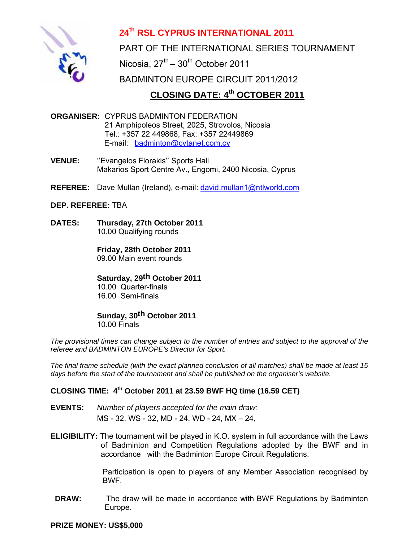

## **24th RSL CYPRUS INTERNATIONAL 2011**

PART OF THE INTERNATIONAL SERIES TOURNAMENT Nicosia,  $27<sup>th</sup> - 30<sup>th</sup>$  October 2011 BADMINTON EUROPE CIRCUIT 2011/2012  **CLOSING DATE: 4th OCTOBER 2011**

## **ORGANISER:** CYPRUS BADMINTON FEDERATION 21 Amphipoleos Street, 2025, Strovolos, Nicosia Tel.: +357 22 449868, Fax: +357 22449869 E-mail: badminton@cytanet.com.cy

- **VENUE:** ''Evangelos Florakis'' Sports Hall Makarios Sport Centre Av., Engomi, 2400 Nicosia, Cyprus
- **REFEREE:** Dave Mullan (Ireland), e-mail: david.mullan1@ntlworld.com

## **DEP. REFEREE:** ΤΒΑ

**DATES: Thursday, 27th October 2011** 10.00 Qualifying rounds

> **Friday, 28th October 2011**  09.00 Main event rounds

### **Saturday, 29th October 2011**

 10.00 Quarter-finals 16.00 Semi-finals

# **Sunday, 30th October 2011**

10.00 Finals

*The provisional times can change subject to the number of entries and subject to the approval of the referee and BADMINTON EUROPE's Director for Sport.* 

*The final frame schedule (with the exact planned conclusion of all matches) shall be made at least 15 days before the start of the tournament and shall be published on the organiser's website.* 

## **CLOSING TIME: 4th October 2011 at 23.59 BWF HQ time (16.59 CET)**

- **EVENTS:** *Number of players accepted for the main draw:*  MS - 32, WS - 32, MD - 24, WD - 24, MX – 24,
- **ELIGIBILITY:** The tournament will be played in K.O. system in full accordance with the Laws of Badminton and Competition Regulations adopted by the BWF and in accordance with the Badminton Europe Circuit Regulations.

 Participation is open to players of any Member Association recognised by BWF.

**DRAW:** The draw will be made in accordance with BWF Regulations by Badminton Europe.

**PRIZE MONEY: US\$5,000**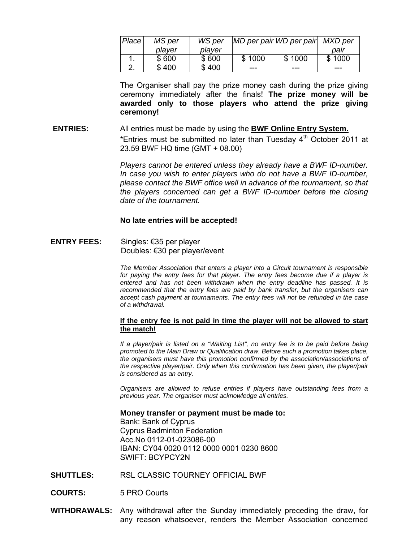| Place       | MS per | WS per | MD per pair WD per pair |        | MXD per |
|-------------|--------|--------|-------------------------|--------|---------|
|             | player | player |                         |        | paır    |
|             | \$600  | \$600  | \$1000                  | \$1000 | \$1000  |
| <u>. . </u> | \$400  | \$400  | ---                     | ---    | ---     |

The Organiser shall pay the prize money cash during the prize giving ceremony immediately after the finals! **The prize money will be awarded only to those players who attend the prize giving ceremony!** 

## **ENTRIES:** All entries must be made by using the **BWF Online Entry System.** \*Entries must be submitted no later than Tuesday  $4<sup>th</sup>$  October 2011 at 23.59 BWF HQ time (GMT + 08.00)

*Players cannot be entered unless they already have a BWF ID-number. In case you wish to enter players who do not have a BWF ID-number, please contact the BWF office well in advance of the tournament, so that the players concerned can get a BWF ID-number before the closing date of the tournament.* 

#### **No late entries will be accepted!**

**ENTRY FEES:** Singles: €35 per player Doubles: €30 per player/event

> *The Member Association that enters a player into a Circuit tournament is responsible for paying the entry fees for that player. The entry fees become due if a player is entered and has not been withdrawn when the entry deadline has passed. It is recommended that the entry fees are paid by bank transfer, but the organisers can accept cash payment at tournaments. The entry fees will not be refunded in the case of a withdrawal.*

#### **If the entry fee is not paid in time the player will not be allowed to start the match!**

*If a player/pair is listed on a "Waiting List", no entry fee is to be paid before being promoted to the Main Draw or Qualification draw. Before such a promotion takes place, the organisers must have this promotion confirmed by the association/associations of the respective player/pair. Only when this confirmation has been given, the player/pair is considered as an entry.* 

*Organisers are allowed to refuse entries if players have outstanding fees from a previous year. The organiser must acknowledge all entries.* 

 **Money transfer or payment must be made to:** 

 Bank: Bank of Cyprus Cyprus Badminton Federation Acc.No 0112-01-023086-00 IBAN: CY04 0020 0112 0000 0001 0230 8600 SWIFT: BCYPCY2N

- **SHUTTLES:** RSL CLASSIC TOURNEY OFFICIAL BWF
- **COURTS:** 5 PRO Courts
- **WITHDRAWALS:** Any withdrawal after the Sunday immediately preceding the draw, for any reason whatsoever, renders the Member Association concerned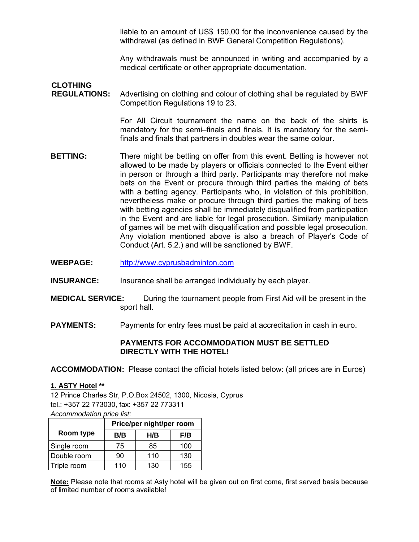liable to an amount of US\$ 150,00 for the inconvenience caused by the withdrawal (as defined in BWF General Competition Regulations).

Any withdrawals must be announced in writing and accompanied by a medical certificate or other appropriate documentation.

## **CLOTHING REGULATIONS:** Advertising on clothing and colour of clothing shall be regulated by BWF Competition Regulations 19 to 23.

 For All Circuit tournament the name on the back of the shirts is mandatory for the semi–finals and finals. It is mandatory for the semifinals and finals that partners in doubles wear the same colour.

- **BETTING:** There might be betting on offer from this event. Betting is however not allowed to be made by players or officials connected to the Event either in person or through a third party. Participants may therefore not make bets on the Event or procure through third parties the making of bets with a betting agency. Participants who, in violation of this prohibition, nevertheless make or procure through third parties the making of bets with betting agencies shall be immediately disqualified from participation in the Event and are liable for legal prosecution. Similarly manipulation of games will be met with disqualification and possible legal prosecution. Any violation mentioned above is also a breach of Player's Code of Conduct (Art. 5.2.) and will be sanctioned by BWF.
- **WEBPAGE:** http://www.cyprusbadminton.com
- **INSURANCE:** Insurance shall be arranged individually by each player.
- **MEDICAL SERVICE:** During the tournament people from First Aid will be present in the sport hall.
- **PAYMENTS:** Payments for entry fees must be paid at accreditation in cash in euro.

### **PAYMENTS FOR ACCOMMODATION MUST BE SETTLED DIRECTLY WITH THE HOTEL!**

**ACCOMMODATION:** Please contact the official hotels listed below: (all prices are in Euros)

### **1. ASTY Hotel \*\***

12 Prince Charles Str, P.O.Box 24502, 1300, Nicosia, Cyprus tel.: +357 22 773030, fax: +357 22 773311 *Accommodation price list:* 

|             | Price/per night/per room |     |     |  |
|-------------|--------------------------|-----|-----|--|
| Room type   | B/B                      | H/B | F/B |  |
| Single room | 75                       | 85  | 100 |  |
| Double room | 90                       | 110 | 130 |  |
| Triple room | 110                      | 130 | 155 |  |

**Note:** Please note that rooms at Asty hotel will be given out on first come, first served basis because of limited number of rooms available!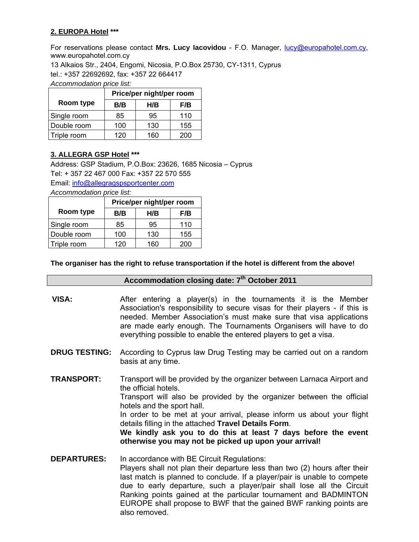## **2. EUROPA Hotel \*\*\***

For reservations please contact **Mrs. Lucy Iacovidou** - F.O. Manager, lucy@europahotel.com.cy, www.europahotel.com.cy

13 Alkaios Str., 2404, Engomi, Nicosia, P.O.Box 25730, CY-1311, Cyprus tel.: +357 22692692, fax: +357 22 664417

*Accommodation price list:* 

|             | Price/per night/per room |     |     |  |
|-------------|--------------------------|-----|-----|--|
| Room type   | B/B                      | H/B | F/B |  |
| Single room | 85                       | 95  | 110 |  |
| Double room | 100                      | 130 | 155 |  |
| Triple room | 120                      | 160 | 200 |  |

#### **3. ALLEGRA GSP Hotel \*\*\***

Address: GSP Stadium, P.O.Box: 23626, 1685 Nicosia – Cyprus Tel: + 357 22 467 000 Fax: +357 22 570 555 Email: info@allegragspsportcenter.com

*Accommodation price list:* 

|             | Price/per night/per room |     |     |  |
|-------------|--------------------------|-----|-----|--|
| Room type   | B/B                      | H/B | F/B |  |
| Single room | 85                       | 95  | 110 |  |
| Double room | 100                      | 130 | 155 |  |
| Triple room | 120                      | 160 | 200 |  |

**The organiser has the right to refuse transportation if the hotel is different from the above!** 

## **Accommodation closing date: 7th October 2011**

- **VISA:** After entering a player(s) in the tournaments it is the Member Association's responsibility to secure visas for their players - if this is needed. Member Association's must make sure that visa applications are made early enough. The Tournaments Organisers will have to do everything possible to enable the entered players to get a visa.
- **DRUG TESTING:** According to Cyprus law Drug Testing may be carried out on a random basis at any time.
- **TRANSPORT:** Transport will be provided by the organizer between Larnaca Airport and the official hotels. Transport will also be provided by the organizer between the official hotels and the sport hall. In order to be met at your arrival, please inform us about your flight details filling in the attached **Travel Details Form**. **We kindly ask you to do this at least 7 days before the event otherwise you may not be picked up upon your arrival!**
- **DEPARTURES:** In accordance with BE Circuit Regulations: Players shall not plan their departure less than two (2) hours after their last match is planned to conclude. If a player/pair is unable to compete due to early departure, such a player/pair shall lose all the Circuit Ranking points gained at the particular tournament and BADMINTON EUROPE shall propose to BWF that the gained BWF ranking points are also removed.